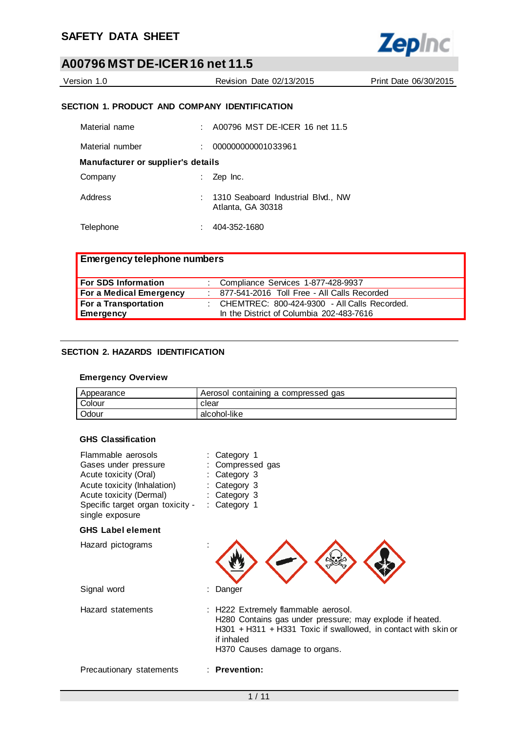

| Version 1.0 | Revision Date 02/13/2015 | Print Date 06/30/2015 |
|-------------|--------------------------|-----------------------|
|             |                          |                       |

### **SECTION 1. PRODUCT AND COMPANY IDENTIFICATION**

| Material name                      | A00796 MST DE-ICER 16 net 11.5                            |
|------------------------------------|-----------------------------------------------------------|
| Material number                    | 000000000001033961                                        |
| Manufacturer or supplier's details |                                                           |
| Company                            | Zep Inc.                                                  |
| Address                            | : 1310 Seaboard Industrial Blvd., NW<br>Atlanta, GA 30318 |
| Telephone                          | 404-352-1680                                              |

| <b>Emergency telephone numbers</b> |  |                                                |  |
|------------------------------------|--|------------------------------------------------|--|
| <b>For SDS Information</b>         |  | : Compliance Services 1-877-428-9937           |  |
| <b>For a Medical Emergency</b>     |  | : 877-541-2016 Toll Free - All Calls Recorded  |  |
| For a Transportation               |  | : CHEMTREC: 800-424-9300 - All Calls Recorded. |  |
| Emergency                          |  | In the District of Columbia 202-483-7616       |  |

### **SECTION 2. HAZARDS IDENTIFICATION**

#### **Emergency Overview**

| Appearance | Aerosol containing a compressed gas |
|------------|-------------------------------------|
| Colour     | clear                               |
| Odour      | alcohol-like                        |

#### **GHS Classification**

| Flammable aerosols               | : Category 1     |
|----------------------------------|------------------|
| Gases under pressure             | : Compressed gas |
| Acute toxicity (Oral)            | : Category 3     |
| Acute toxicity (Inhalation)      | : Category 3     |
| Acute toxicity (Dermal)          | : Category 3     |
| Specific target organ toxicity - | : Category 1     |
| single exposure                  |                  |

### **GHS Label element**

| Hazard pictograms        |                                                                                                                                                                                                                    |
|--------------------------|--------------------------------------------------------------------------------------------------------------------------------------------------------------------------------------------------------------------|
| Signal word              | : Danger                                                                                                                                                                                                           |
| Hazard statements        | : H222 Extremely flammable aerosol.<br>H280 Contains gas under pressure; may explode if heated.<br>$H301 + H311 + H331$ Toxic if swallowed, in contact with skin or<br>if inhaled<br>H370 Causes damage to organs. |
| Precautionary statements | $:$ Prevention:                                                                                                                                                                                                    |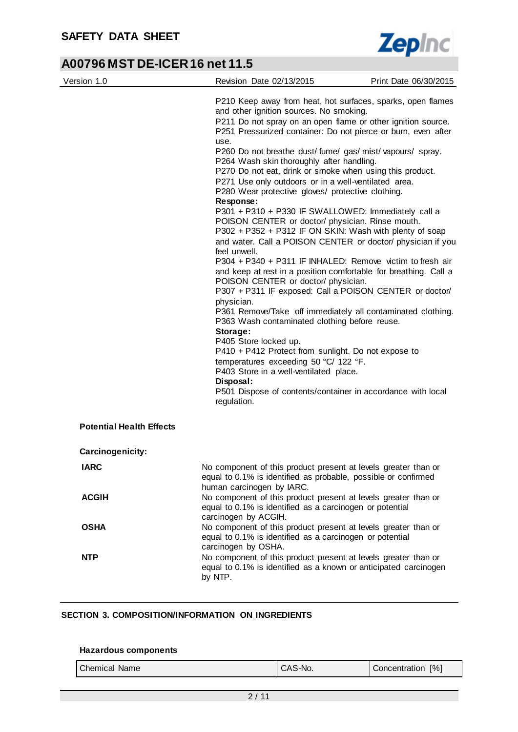

| Version 1.0                     | Revision Date 02/13/2015                                                                                                                                                                                                                                                                                                                                                                                                                                                                                                                                                                                                                                                                                                                                                                                                                                                                                                                                                                                                                                                                                                                                                                                                                                                                                                                                      | Print Date 06/30/2015 |  |
|---------------------------------|---------------------------------------------------------------------------------------------------------------------------------------------------------------------------------------------------------------------------------------------------------------------------------------------------------------------------------------------------------------------------------------------------------------------------------------------------------------------------------------------------------------------------------------------------------------------------------------------------------------------------------------------------------------------------------------------------------------------------------------------------------------------------------------------------------------------------------------------------------------------------------------------------------------------------------------------------------------------------------------------------------------------------------------------------------------------------------------------------------------------------------------------------------------------------------------------------------------------------------------------------------------------------------------------------------------------------------------------------------------|-----------------------|--|
|                                 | P210 Keep away from heat, hot surfaces, sparks, open flames<br>and other ignition sources. No smoking.<br>P211 Do not spray on an open flame or other ignition source.<br>P251 Pressurized container: Do not pierce or burn, even after<br>use.<br>P260 Do not breathe dust/fume/gas/mist/vapours/spray.<br>P264 Wash skin thoroughly after handling.<br>P270 Do not eat, drink or smoke when using this product.<br>P271 Use only outdoors or in a well-ventilated area.<br>P280 Wear protective gloves/ protective clothing.<br>Response:<br>P301 + P310 + P330 IF SWALLOWED: Immediately call a<br>POISON CENTER or doctor/ physician. Rinse mouth.<br>P302 + P352 + P312 IF ON SKIN: Wash with plenty of soap<br>and water. Call a POISON CENTER or doctor/ physician if you<br>feel unwell.<br>P304 + P340 + P311 IF INHALED: Remove victim to fresh air<br>and keep at rest in a position comfortable for breathing. Call a<br>POISON CENTER or doctor/ physician.<br>P307 + P311 IF exposed: Call a POISON CENTER or doctor/<br>physician.<br>P361 Remove/Take off immediately all contaminated clothing.<br>P363 Wash contaminated clothing before reuse.<br>Storage:<br>P405 Store locked up.<br>P410 + P412 Protect from sunlight. Do not expose to<br>temperatures exceeding 50 °C/ 122 °F.<br>P403 Store in a well-ventilated place.<br>Disposal: |                       |  |
|                                 | P501 Dispose of contents/container in accordance with local<br>regulation.                                                                                                                                                                                                                                                                                                                                                                                                                                                                                                                                                                                                                                                                                                                                                                                                                                                                                                                                                                                                                                                                                                                                                                                                                                                                                    |                       |  |
| <b>Potential Health Effects</b> |                                                                                                                                                                                                                                                                                                                                                                                                                                                                                                                                                                                                                                                                                                                                                                                                                                                                                                                                                                                                                                                                                                                                                                                                                                                                                                                                                               |                       |  |
| Carcinogenicity:                |                                                                                                                                                                                                                                                                                                                                                                                                                                                                                                                                                                                                                                                                                                                                                                                                                                                                                                                                                                                                                                                                                                                                                                                                                                                                                                                                                               |                       |  |
| <b>IARC</b>                     | No component of this product present at levels greater than or<br>equal to 0.1% is identified as probable, possible or confirmed<br>human carcinogen by IARC.                                                                                                                                                                                                                                                                                                                                                                                                                                                                                                                                                                                                                                                                                                                                                                                                                                                                                                                                                                                                                                                                                                                                                                                                 |                       |  |
| <b>ACGIH</b>                    | No component of this product present at levels greater than or<br>equal to 0.1% is identified as a carcinogen or potential<br>carcinogen by ACGIH.                                                                                                                                                                                                                                                                                                                                                                                                                                                                                                                                                                                                                                                                                                                                                                                                                                                                                                                                                                                                                                                                                                                                                                                                            |                       |  |
| <b>OSHA</b>                     | No component of this product present at levels greater than or<br>equal to 0.1% is identified as a carcinogen or potential<br>carcinogen by OSHA.                                                                                                                                                                                                                                                                                                                                                                                                                                                                                                                                                                                                                                                                                                                                                                                                                                                                                                                                                                                                                                                                                                                                                                                                             |                       |  |
| <b>NTP</b>                      | No component of this product present at levels greater than or<br>equal to 0.1% is identified as a known or anticipated carcinogen<br>by NTP.                                                                                                                                                                                                                                                                                                                                                                                                                                                                                                                                                                                                                                                                                                                                                                                                                                                                                                                                                                                                                                                                                                                                                                                                                 |                       |  |

### **SECTION 3. COMPOSITION/INFORMATION ON INGREDIENTS**

#### **Hazardous components**

| Chemical Name | CAS-No. | Concentration [%] |
|---------------|---------|-------------------|
|---------------|---------|-------------------|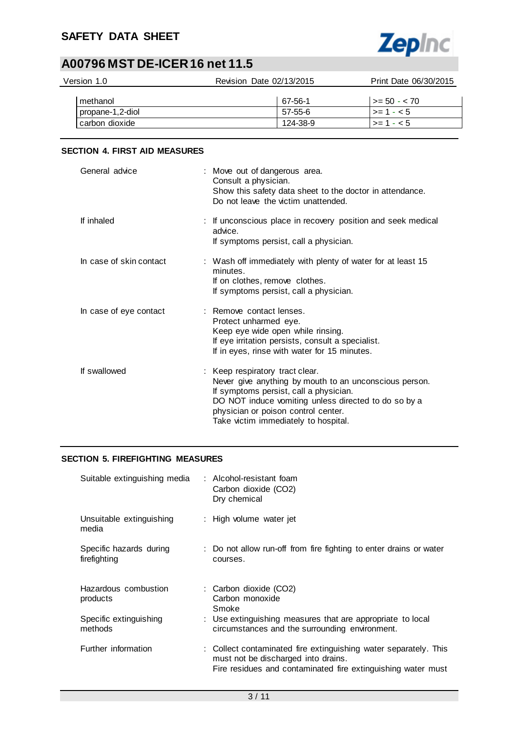

| Version 1.0      | Revision Date 02/13/2015 | Print Date 06/30/2015 |
|------------------|--------------------------|-----------------------|
| methanol         | 67-56-1                  | $\vert$ >= 50 - < 70  |
| propane-1,2-diol | 57-55-6                  | $1 > 1 - 5$           |
| carbon dioxide   | 124-38-9                 | $\vert$ >= 1 - < 5    |

### **SECTION 4. FIRST AID MEASURES**

| General advice          | : Move out of dangerous area.<br>Consult a physician.<br>Show this safety data sheet to the doctor in attendance.<br>Do not leave the victim unattended.                                                                                                                   |
|-------------------------|----------------------------------------------------------------------------------------------------------------------------------------------------------------------------------------------------------------------------------------------------------------------------|
| If inhaled              | : If unconscious place in recovery position and seek medical<br>advice.<br>If symptoms persist, call a physician.                                                                                                                                                          |
| In case of skin contact | : Wash off immediately with plenty of water for at least 15<br>minutes.<br>If on clothes, remove clothes.<br>If symptoms persist, call a physician.                                                                                                                        |
| In case of eye contact  | : Remove contact lenses.<br>Protect unharmed eye.<br>Keep eye wide open while rinsing.<br>If eye irritation persists, consult a specialist.<br>If in eyes, rinse with water for 15 minutes.                                                                                |
| If swallowed            | : Keep respiratory tract clear.<br>Never give anything by mouth to an unconscious person.<br>If symptoms persist, call a physician.<br>DO NOT induce vomiting unless directed to do so by a<br>physician or poison control center.<br>Take victim immediately to hospital. |

### **SECTION 5. FIREFIGHTING MEASURES**

| Suitable extinguishing media            | : Alcohol-resistant foam<br>Carbon dioxide (CO2)<br>Dry chemical                                                                                                        |
|-----------------------------------------|-------------------------------------------------------------------------------------------------------------------------------------------------------------------------|
| Unsuitable extinguishing<br>media       | : High volume water jet                                                                                                                                                 |
| Specific hazards during<br>firefighting | : Do not allow run-off from fire fighting to enter drains or water<br>courses.                                                                                          |
| Hazardous combustion<br>products        | : Carbon dioxide (CO2)<br>Carbon monoxide<br>Smoke                                                                                                                      |
| Specific extinguishing<br>methods       | : Use extinguishing measures that are appropriate to local<br>circumstances and the surrounding environment.                                                            |
| Further information                     | : Collect contaminated fire extinguishing water separately. This<br>must not be discharged into drains.<br>Fire residues and contaminated fire extinguishing water must |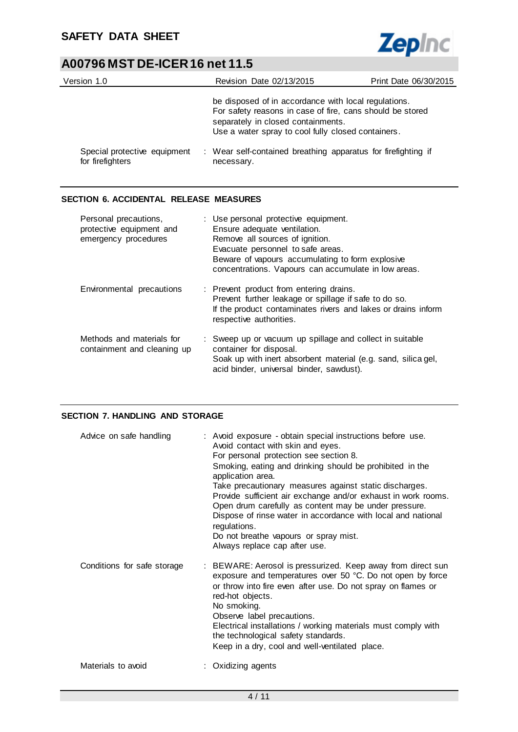

| Version 1.0                                      | Revision Date 02/13/2015                                                                                                                                                                                      | Print Date 06/30/2015 |
|--------------------------------------------------|---------------------------------------------------------------------------------------------------------------------------------------------------------------------------------------------------------------|-----------------------|
|                                                  | be disposed of in accordance with local regulations.<br>For safety reasons in case of fire, cans should be stored<br>separately in closed containments.<br>Use a water spray to cool fully closed containers. |                       |
| Special protective equipment<br>for firefighters | : Wear self-contained breathing apparatus for firefighting if<br>necessary.                                                                                                                                   |                       |

### **SECTION 6. ACCIDENTAL RELEASE MEASURES**

| Personal precautions,<br>protective equipment and<br>emergency procedures | : Use personal protective equipment.<br>Ensure adequate ventilation.<br>Remove all sources of ignition.<br>Evacuate personnel to safe areas.<br>Beware of vapours accumulating to form explosive<br>concentrations. Vapours can accumulate in low areas. |
|---------------------------------------------------------------------------|----------------------------------------------------------------------------------------------------------------------------------------------------------------------------------------------------------------------------------------------------------|
| Environmental precautions                                                 | : Prevent product from entering drains.<br>Prevent further leakage or spillage if safe to do so.<br>If the product contaminates rivers and lakes or drains inform<br>respective authorities.                                                             |
| Methods and materials for<br>containment and cleaning up                  | : Sweep up or vacuum up spillage and collect in suitable<br>container for disposal.<br>Soak up with inert absorbent material (e.g. sand, silica gel,<br>acid binder, universal binder, sawdust).                                                         |

### **SECTION 7. HANDLING AND STORAGE**

| Advice on safe handling     | : Avoid exposure - obtain special instructions before use.<br>Avoid contact with skin and eyes.<br>For personal protection see section 8.<br>Smoking, eating and drinking should be prohibited in the<br>application area.<br>Take precautionary measures against static discharges.<br>Provide sufficient air exchange and/or exhaust in work rooms.<br>Open drum carefully as content may be under pressure.<br>Dispose of rinse water in accordance with local and national<br>regulations.<br>Do not breathe vapours or spray mist.<br>Always replace cap after use. |
|-----------------------------|--------------------------------------------------------------------------------------------------------------------------------------------------------------------------------------------------------------------------------------------------------------------------------------------------------------------------------------------------------------------------------------------------------------------------------------------------------------------------------------------------------------------------------------------------------------------------|
| Conditions for safe storage | : BEWARE: Aerosol is pressurized. Keep away from direct sun<br>exposure and temperatures over 50 °C. Do not open by force<br>or throw into fire even after use. Do not spray on flames or<br>red-hot objects.<br>No smoking.<br>Observe label precautions.<br>Electrical installations / working materials must comply with<br>the technological safety standards.<br>Keep in a dry, cool and well-ventilated place.                                                                                                                                                     |
| Materials to avoid          | : Oxidizing agents                                                                                                                                                                                                                                                                                                                                                                                                                                                                                                                                                       |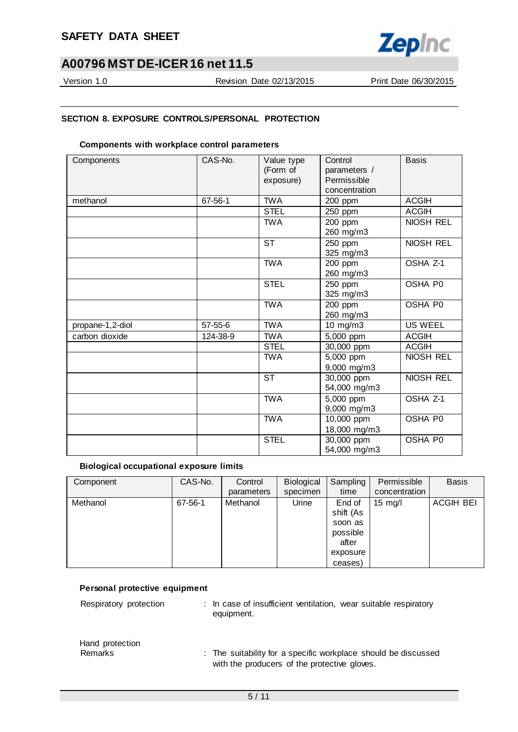

Version 1.0 Revision Date 02/13/2015 Print Date 06/30/2015

### **SECTION 8. EXPOSURE CONTROLS/PERSONAL PROTECTION**

#### **Components with workplace control parameters**

| Components       | CAS-No.  | Value type<br>(Form of<br>exposure) | Control<br>parameters /<br>Permissible<br>concentration | <b>Basis</b>     |
|------------------|----------|-------------------------------------|---------------------------------------------------------|------------------|
| methanol         | 67-56-1  | <b>TWA</b>                          | 200 ppm                                                 | <b>ACGIH</b>     |
|                  |          | <b>STEL</b>                         | 250 ppm                                                 | <b>ACGIH</b>     |
|                  |          | <b>TWA</b>                          | 200 ppm<br>260 mg/m3                                    | NIOSH REL        |
|                  |          | <b>ST</b>                           | 250 ppm<br>325 mg/m3                                    | <b>NIOSH REL</b> |
|                  |          | <b>TWA</b>                          | 200 ppm<br>260 mg/m3                                    | OSHA Z-1         |
|                  |          | <b>STEL</b>                         | 250 ppm<br>325 mg/m3                                    | OSHA P0          |
|                  |          | <b>TWA</b>                          | 200 ppm<br>260 mg/m3                                    | OSHA P0          |
| propane-1,2-diol | 57-55-6  | <b>TWA</b>                          | 10 mg/m3                                                | <b>US WEEL</b>   |
| carbon dioxide   | 124-38-9 | <b>TWA</b>                          | 5,000 ppm                                               | <b>ACGIH</b>     |
|                  |          | <b>STEL</b>                         | 30,000 ppm                                              | <b>ACGIH</b>     |
|                  |          | <b>TWA</b>                          | 5,000 ppm<br>9,000 mg/m3                                | NIOSH REL        |
|                  |          | <b>ST</b>                           | 30,000 ppm<br>54,000 mg/m3                              | NIOSH REL        |
|                  |          | <b>TWA</b>                          | 5,000 ppm<br>9,000 mg/m3                                | OSHA Z-1         |
|                  |          | <b>TWA</b>                          | 10,000 ppm<br>18,000 mg/m3                              | OSHA P0          |
|                  |          | <b>STEL</b>                         | 30,000 ppm<br>54,000 mg/m3                              | OSHA P0          |

### **Biological occupational exposure limits**

| Component | CAS-No. | Control    | Biological | Sampling  | Permissible       | <b>Basis</b>     |
|-----------|---------|------------|------------|-----------|-------------------|------------------|
|           |         | parameters | specimen   | time      | concentration     |                  |
| Methanol  | 67-56-1 | Methanol   | Urine      | End of    | $15 \text{ mg/l}$ | <b>ACGIH BEI</b> |
|           |         |            |            | shift (As |                   |                  |
|           |         |            |            | soon as   |                   |                  |
|           |         |            |            | possible  |                   |                  |
|           |         |            |            | after     |                   |                  |
|           |         |            |            | exposure  |                   |                  |
|           |         |            |            | ceases)   |                   |                  |

#### **Personal protective equipment**

Respiratory protection : In case of insufficient ventilation, wear suitable respiratory equipment.

# Hand protection

Remarks : The suitability for a specific workplace should be discussed with the producers of the protective gloves.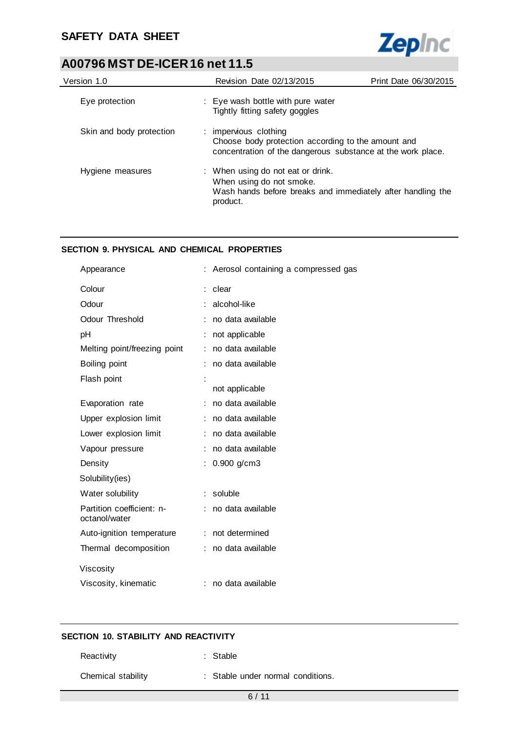

| Version 1.0              | Revision Date 02/13/2015                                                                                                                   | Print Date 06/30/2015 |
|--------------------------|--------------------------------------------------------------------------------------------------------------------------------------------|-----------------------|
| Eye protection           | : Eye wash bottle with pure water<br>Tightly fitting safety goggles                                                                        |                       |
| Skin and body protection | : impervious clothing<br>Choose body protection according to the amount and<br>concentration of the dangerous substance at the work place. |                       |
| Hygiene measures         | : When using do not eat or drink.<br>When using do not smoke.<br>Wash hands before breaks and immediately after handling the<br>product.   |                       |

### **SECTION 9. PHYSICAL AND CHEMICAL PROPERTIES**

| Appearance                                 |    | Aerosol containing a compressed gas |
|--------------------------------------------|----|-------------------------------------|
| Colour                                     | t. | clear                               |
| Odour                                      |    | alcohol-like                        |
| Odour Threshold                            |    | no data available                   |
| pH                                         |    | not applicable                      |
| Melting point/freezing point               |    | no data available                   |
| Boiling point                              |    | no data available                   |
| Flash point                                |    |                                     |
|                                            |    | not applicable                      |
| Evaporation rate                           |    | no data available                   |
| Upper explosion limit                      |    | no data available                   |
| Lower explosion limit                      | ÷. | no data available                   |
| Vapour pressure                            |    | no data available                   |
| Density                                    | t. | $0.900$ g/cm3                       |
| Solubility(ies)                            |    |                                     |
| Water solubility                           | ÷. | soluble                             |
| Partition coefficient: n-<br>octanol/water |    | no data available                   |
| Auto-ignition temperature                  |    | : not determined                    |
| Thermal decomposition                      |    | no data available                   |
| Viscosity                                  |    |                                     |
| Viscosity, kinematic                       |    | no data available                   |
|                                            |    |                                     |

### **SECTION 10. STABILITY AND REACTIVITY**

| Reactivity         | : Stable                          |  |
|--------------------|-----------------------------------|--|
| Chemical stability | : Stable under normal conditions. |  |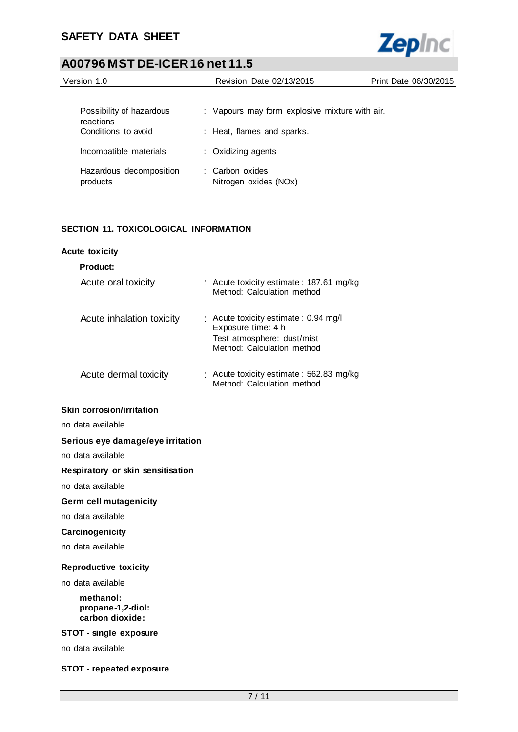

| Version 1.0<br>Revision Date 02/13/2015 |  | Print Date 06/30/2015                          |  |
|-----------------------------------------|--|------------------------------------------------|--|
|                                         |  |                                                |  |
| Possibility of hazardous<br>reactions   |  | : Vapours may form explosive mixture with air. |  |
| Conditions to avoid                     |  | : Heat, flames and sparks.                     |  |
| Incompatible materials                  |  | : Oxidizing agents                             |  |
| Hazardous decomposition<br>products     |  | : Carbon oxides<br>Nitrogen oxides (NOx)       |  |

### **SECTION 11. TOXICOLOGICAL INFORMATION**

### **Acute toxicity**

| <b>Product:</b>                                   |                                                                                                                        |
|---------------------------------------------------|------------------------------------------------------------------------------------------------------------------------|
| Acute oral toxicity                               | : Acute toxicity estimate: 187.61 mg/kg<br>Method: Calculation method                                                  |
| Acute inhalation toxicity                         | : Acute toxicity estimate: 0.94 mg/l<br>Exposure time: 4 h<br>Test atmosphere: dust/mist<br>Method: Calculation method |
| Acute dermal toxicity                             | : Acute toxicity estimate: 562.83 mg/kg<br>Method: Calculation method                                                  |
| <b>Skin corrosion/irritation</b>                  |                                                                                                                        |
| no data available                                 |                                                                                                                        |
| Serious eye damage/eye irritation                 |                                                                                                                        |
| no data available                                 |                                                                                                                        |
| Respiratory or skin sensitisation                 |                                                                                                                        |
| no data available                                 |                                                                                                                        |
| <b>Germ cell mutagenicity</b>                     |                                                                                                                        |
| no data available                                 |                                                                                                                        |
| Carcinogenicity                                   |                                                                                                                        |
| no data available                                 |                                                                                                                        |
| <b>Reproductive toxicity</b>                      |                                                                                                                        |
| no data available                                 |                                                                                                                        |
| methanol:<br>propane-1,2-diol:<br>carbon dioxide: |                                                                                                                        |
| <b>STOT - single exposure</b>                     |                                                                                                                        |
| no data available                                 |                                                                                                                        |

### **STOT - repeated exposure**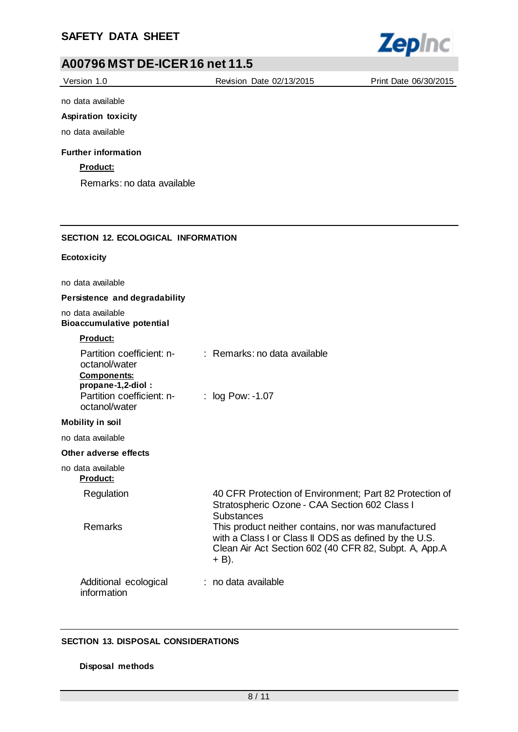

| Version 1.0                                                      | Revision Date 02/13/2015                                                                                                                                                          | Print Date 06/30/2015 |
|------------------------------------------------------------------|-----------------------------------------------------------------------------------------------------------------------------------------------------------------------------------|-----------------------|
| no data available                                                |                                                                                                                                                                                   |                       |
| <b>Aspiration toxicity</b>                                       |                                                                                                                                                                                   |                       |
| no data available                                                |                                                                                                                                                                                   |                       |
| <b>Further information</b>                                       |                                                                                                                                                                                   |                       |
| Product:                                                         |                                                                                                                                                                                   |                       |
| Remarks: no data available                                       |                                                                                                                                                                                   |                       |
|                                                                  |                                                                                                                                                                                   |                       |
|                                                                  |                                                                                                                                                                                   |                       |
| <b>SECTION 12. ECOLOGICAL INFORMATION</b>                        |                                                                                                                                                                                   |                       |
| Ecotoxicity                                                      |                                                                                                                                                                                   |                       |
| no data available                                                |                                                                                                                                                                                   |                       |
| Persistence and degradability                                    |                                                                                                                                                                                   |                       |
| no data available<br><b>Bioaccumulative potential</b>            |                                                                                                                                                                                   |                       |
| <b>Product:</b>                                                  |                                                                                                                                                                                   |                       |
| Partition coefficient: n-<br>octanol/water<br><b>Components:</b> | : Remarks: no data available                                                                                                                                                      |                       |
| propane-1,2-diol:<br>Partition coefficient: n-<br>octanol/water  | : log Pow: -1.07                                                                                                                                                                  |                       |
| <b>Mobility in soil</b>                                          |                                                                                                                                                                                   |                       |
| no data available                                                |                                                                                                                                                                                   |                       |
| Other adverse effects                                            |                                                                                                                                                                                   |                       |
| no data available<br><b>Product:</b>                             |                                                                                                                                                                                   |                       |
| Regulation                                                       | 40 CFR Protection of Environment; Part 82 Protection of<br>Stratospheric Ozone - CAA Section 602 Class I<br><b>Substances</b>                                                     |                       |
| Remarks                                                          | This product neither contains, nor was manufactured<br>with a Class I or Class II ODS as defined by the U.S.<br>Clean Air Act Section 602 (40 CFR 82, Subpt. A, App.A<br>$+ B$ ). |                       |
| Additional ecological<br>information                             | : no data available                                                                                                                                                               |                       |

### **SECTION 13. DISPOSAL CONSIDERATIONS**

**Disposal methods**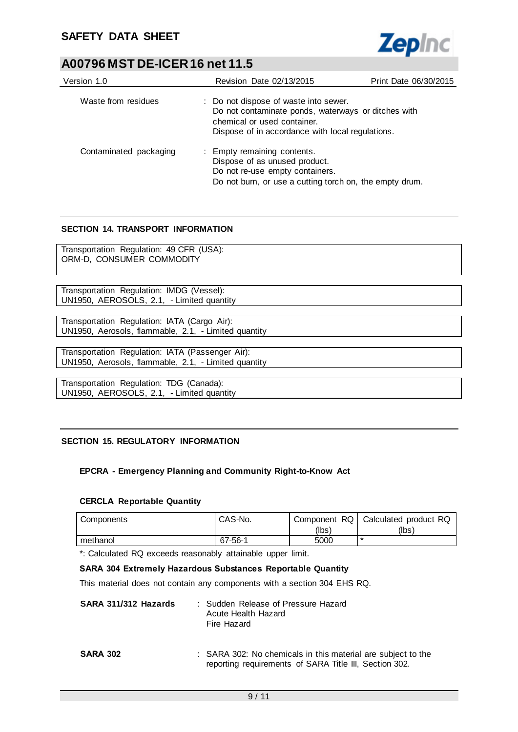

| Version 1.0            | Revision Date 02/13/2015                                                                                                                                                        | Print Date 06/30/2015 |
|------------------------|---------------------------------------------------------------------------------------------------------------------------------------------------------------------------------|-----------------------|
|                        |                                                                                                                                                                                 |                       |
| Waste from residues    | : Do not dispose of waste into sewer.<br>Do not contaminate ponds, waterways or ditches with<br>chemical or used container.<br>Dispose of in accordance with local regulations. |                       |
| Contaminated packaging | : Empty remaining contents.<br>Dispose of as unused product.<br>Do not re-use empty containers.<br>Do not burn, or use a cutting torch on, the empty drum.                      |                       |

### **SECTION 14. TRANSPORT INFORMATION**

Transportation Regulation: 49 CFR (USA): ORM-D, CONSUMER COMMODITY

Transportation Regulation: IMDG (Vessel): UN1950, AEROSOLS, 2.1, - Limited quantity

Transportation Regulation: IATA (Cargo Air): UN1950, Aerosols, flammable, 2.1, - Limited quantity

Transportation Regulation: IATA (Passenger Air): UN1950, Aerosols, flammable, 2.1, - Limited quantity

Transportation Regulation: TDG (Canada): UN1950, AEROSOLS, 2.1, - Limited quantity

### **SECTION 15. REGULATORY INFORMATION**

### **EPCRA - Emergency Planning and Community Right-to-Know Act**

### **CERCLA Reportable Quantity**

| Components | CAS-No. | Component RQ | Calculated product RQ |
|------------|---------|--------------|-----------------------|
|            |         | (lbs'        | (Ibs)                 |
| methanol   | 67-56-1 | 5000         | ∗                     |

\*: Calculated RQ exceeds reasonably attainable upper limit.

#### **SARA 304 Extremely Hazardous Substances Reportable Quantity**

This material does not contain any components with a section 304 EHS RQ.

| SARA 311/312 Hazards | : Sudden Release of Pressure Hazard<br>Acute Health Hazard<br>Fire Hazard |
|----------------------|---------------------------------------------------------------------------|
|                      |                                                                           |

**SARA 302** : SARA 302: No chemicals in this material are subject to the reporting requirements of SARA Title III, Section 302.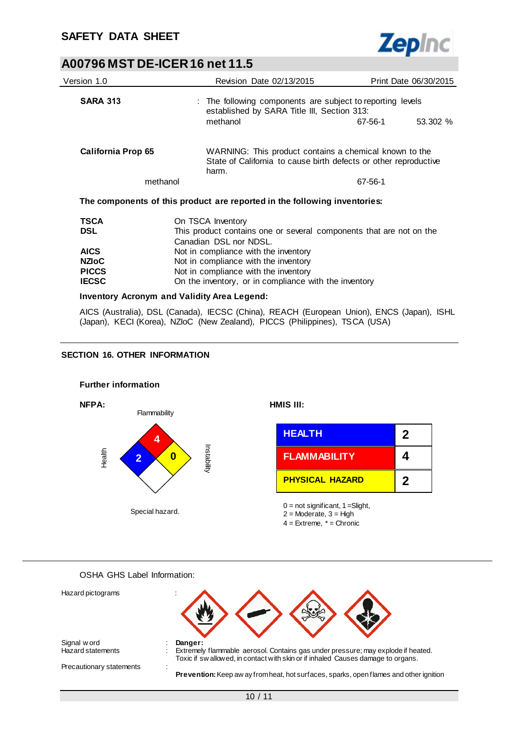

| Version 1.0        | Revision Date 02/13/2015                                                                                  |                                                                                                                            | Print Date 06/30/2015 |
|--------------------|-----------------------------------------------------------------------------------------------------------|----------------------------------------------------------------------------------------------------------------------------|-----------------------|
| <b>SARA 313</b>    | : The following components are subject to reporting levels<br>established by SARA Title III, Section 313: |                                                                                                                            |                       |
|                    | methanol                                                                                                  | 67-56-1                                                                                                                    | 53.302 %              |
| California Prop 65 | harm.                                                                                                     | WARNING: This product contains a chemical known to the<br>State of California to cause birth defects or other reproductive |                       |
| methanol           |                                                                                                           | 67-56-1                                                                                                                    |                       |
|                    | The components of this product are reported in the following inventories:                                 |                                                                                                                            |                       |
| <b>TSCA</b>        | On TSCA Inventory                                                                                         |                                                                                                                            |                       |
| <b>DSL</b>         | This product contains one or several components that are not on the<br>Canadian DSL nor NDSL.             |                                                                                                                            |                       |
| <b>AICS</b>        | Not in compliance with the inventory                                                                      |                                                                                                                            |                       |
| <b>NZIOC</b>       | Not in compliance with the inventory                                                                      |                                                                                                                            |                       |
| <b>PICCS</b>       | Not in compliance with the inventory                                                                      |                                                                                                                            |                       |

**PICCS** Not in compliance with the inventory<br>**IECSC** On the inventory, or in compliance v On the inventory, or in compliance with the inventory

#### **Inventory Acronym and Validity Area Legend:**

AICS (Australia), DSL (Canada), IECSC (China), REACH (European Union), ENCS (Japan), ISHL (Japan), KECI (Korea), NZIoC (New Zealand), PICCS (Philippines), TSCA (USA)

#### **SECTION 16. OTHER INFORMATION**



OSHA GHS Label Information:

| Hazard pictograms        |                                                                                                                                                                      |
|--------------------------|----------------------------------------------------------------------------------------------------------------------------------------------------------------------|
| Signal w ord             | Danger:                                                                                                                                                              |
| <b>Hazard statements</b> | Extremely flammable aerosol. Contains gas under pressure; may explode if heated.<br>Toxic if sw allowed, in contact with skin or if inhaled Causes damage to organs. |
| Precautionary statements |                                                                                                                                                                      |
|                          | <b>Prevention:</b> Keep aw ay from heat, hot surfaces, sparks, open flames and other ignition                                                                        |